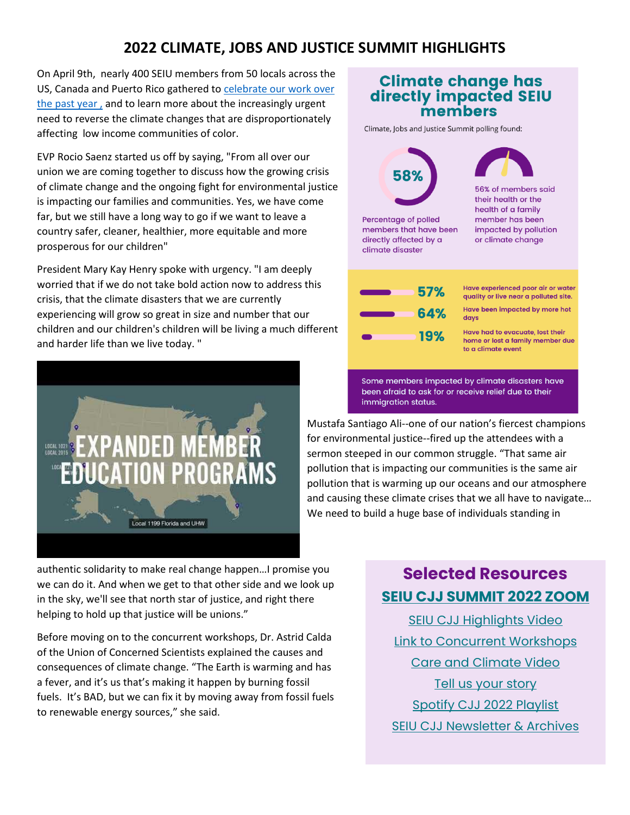## **2022 CLIMATE, JOBS AND JUSTICE SUMMIT HIGHLIGHTS**

On April 9th, nearly 400 SEIU members from 50 locals across the US, Canada and Puerto Rico gathered t[o celebrate our work over](https://youtu.be/mIznFFjuykk)  [the past year](https://youtu.be/mIznFFjuykk) , and to learn more about the increasingly urgent need to reverse the climate changes that are disproportionately affecting low income communities of color.

EVP Rocio Saenz started us off by saying, "From all over our union we are coming together to discuss how the growing crisis of climate change and the ongoing fight for environmental justice is impacting our families and communities. Yes, we have come far, but we still have a long way to go if we want to leave a country safer, cleaner, healthier, more equitable and more prosperous for our children"

President Mary Kay Henry spoke with urgency. "I am deeply worried that if we do not take bold action now to address this crisis, that the climate disasters that we are currently experiencing will grow so great in size and number that our children and our children's children will be living a much different and harder life than we live today. "



authentic solidarity to make real change happen…I promise you we can do it. And when we get to that other side and we look up in the sky, we'll see that north star of justice, and right there helping to hold up that justice will be unions."

Before moving on to the concurrent workshops, Dr. Astrid Calda of the Union of Concerned Scientists explained the causes and consequences of climate change. "The Earth is warming and has a fever, and it's us that's making it happen by burning fossil fuels. It's BAD, but we can fix it by moving away from fossil fuels to renewable energy sources," she said.



Mustafa Santiago Ali--one of our nation's fiercest champions for environmental justice--fired up the attendees with a sermon steeped in our common struggle. "That same air pollution that is impacting our communities is the same air pollution that is warming up our oceans and our atmosphere and causing these climate crises that we all have to navigate… We need to build a huge base of individuals standing in

# **Selected Resources [SEIU CJJ SUMMIT 2022 ZOOM](https://youtu.be/Uhbx5mnYXok)**

[SEIU CJJ Highlights Video](https://youtu.be/mIznFFjuykk) [Link to Concurrent Workshops](https://drive.google.com/drive/folders/19A8iEo5-9hriIBUAxO8qo9_OVloOAO01?usp=sharing) [Care and Climate Video](https://www.youtube.com/watch?v=7ry60rW1wCU) [Tell us your story](https://unionsforall.soapboxx.us/campaign/cjjvideos) [Spotify CJJ 2022 Playlist](https://open.spotify.com/playlist/7en3CeP0wnJsnNrZHOi6Ik?si=42a6460084e5408b) [SEIU CJJ Newsletter & Archives](https://act.seiu.org/a/seiu_climatejobsjustice03252022)